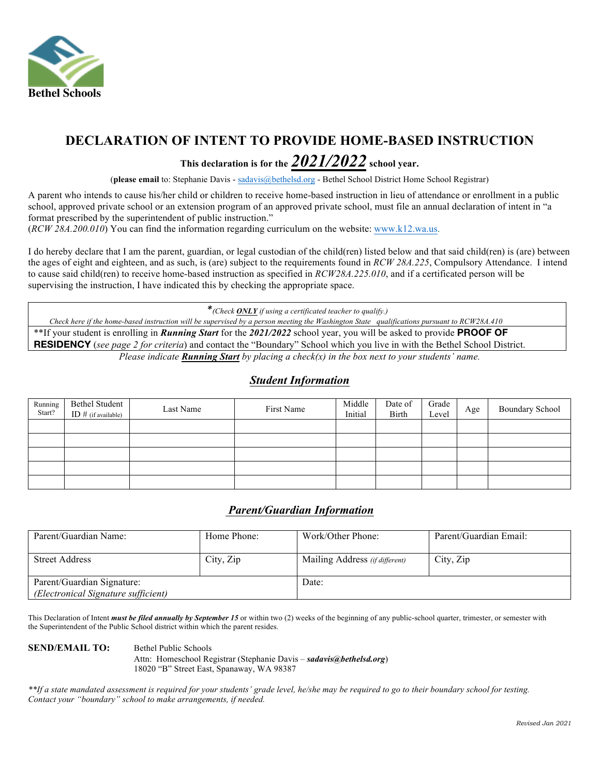

### **DECLARATION OF INTENT TO PROVIDE HOME-BASED INSTRUCTION**

## This declaration is for the  $\frac{2021/2022}{}$  school year.

 (**please email** to: Stephanie Davis - [sadavis@bethelsd.org](mailto:sadavis@bethelsd.org) - Bethel School District Home School Registrar)

 A parent who intends to cause his/her child or children to receive home-based instruction in lieu of attendance or enrollment in a public school, approved private school or an extension program of an approved private school, must file an annual declaration of intent in "a format prescribed by the superintendent of public instruction."

(*RCW 28A.200.010*) You can find the information regarding curriculum on the website: [www.k12.wa.us.](www.k12.wa.us)

 I do hereby declare that I am the parent, guardian, or legal custodian of the child(ren) listed below and that said child(ren) is (are) between the ages of eight and eighteen, and as such, is (are) subject to the requirements found in *RCW 28A.225*, Compulsory Attendance. I intend supervising the instruction, I have indicated this by checking the appropriate space. to cause said child(ren) to receive home-based instruction as specified in *RCW28A.225.010*, and if a certificated person will be

 \*\*If your student is enrolling in *Running Start* for the *2021/2022* school year, you will be asked to provide **PROOF OF RESIDENCY** (*see page 2 for criteria*) and contact the "Boundary" School which you live in with the Bethel School District.  *Please indicate Running Start by placing a check(x) in the box next to your students' name. \*(Check ONLY if using a certificated teacher to qualify.) Check here if the home-based instruction will be supervised by a person meeting the Washington State qualifications pursuant to RCW28A.410* 

#### *Student Information*

| Running<br>Start? | Bethel Student<br>ID # (if available) | Last Name | First Name | Middle<br>Initial | Date of<br>Birth | Grade<br>Level | Age | <b>Boundary School</b> |
|-------------------|---------------------------------------|-----------|------------|-------------------|------------------|----------------|-----|------------------------|
|                   |                                       |           |            |                   |                  |                |     |                        |
|                   |                                       |           |            |                   |                  |                |     |                        |
|                   |                                       |           |            |                   |                  |                |     |                        |
|                   |                                       |           |            |                   |                  |                |     |                        |
|                   |                                       |           |            |                   |                  |                |     |                        |

#### *Parent/Guardian Information*

| Parent/Guardian Name:               | Home Phone: | Work/Other Phone:              | Parent/Guardian Email: |  |  |
|-------------------------------------|-------------|--------------------------------|------------------------|--|--|
|                                     |             |                                |                        |  |  |
| <b>Street Address</b>               | City, Zip   | Mailing Address (if different) | City, Zip              |  |  |
|                                     |             |                                |                        |  |  |
| Parent/Guardian Signature:          |             | Date:                          |                        |  |  |
| (Electronical Signature sufficient) |             |                                |                        |  |  |

This Declaration of Intent *must be filed annually by September 15* or within two (2) weeks of the beginning of any public-school quarter, trimester, or semester with the Superintendent of the Public School district within which the parent resides.

#### **SEND/EMAIL TO:**

**Bethel Public Schools** Attn: Homeschool Registrar (Stephanie Davis – *[sadavis@bethelsd.org](mailto:sadavis@bethelsd.org)*) 18020 "B" Street East, Spanaway, WA 98387

 *\*\*If a state mandated assessment is required for your students' grade level, he/she may be required to go to their boundary school for testing. Contact your "boundary" school to make arrangements, if needed.*